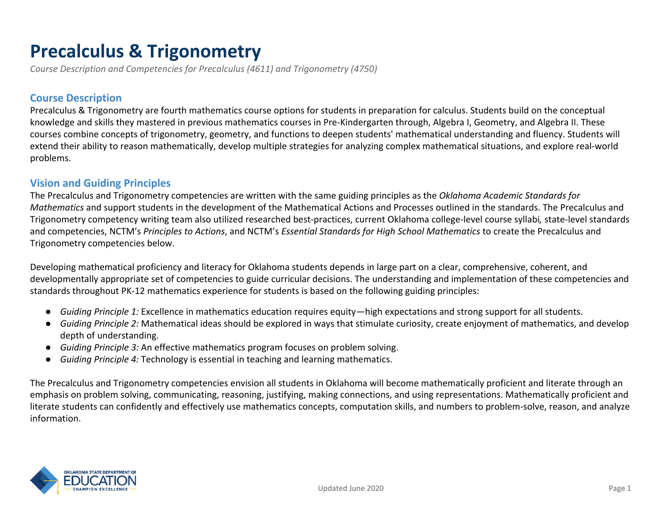# **Precalculus & Trigonometry**

*Course Description and Competencies for Precalculus (4611) and Trigonometry (4750)*

#### **Course Description**

Precalculus & Trigonometry are fourth mathematics course options for students in preparation for calculus. Students build on the conceptual knowledge and skills they mastered in previous mathematics courses in Pre-Kindergarten through, Algebra I, Geometry, and Algebra II. These courses combine concepts of trigonometry, geometry, and functions to deepen students' mathematical understanding and fluency. Students will extend their ability to reason mathematically, develop multiple strategies for analyzing complex mathematical situations, and explore real-world problems.

#### **Vision and Guiding Principles**

The Precalculus and Trigonometry competencies are written with the same guiding principles as the *Oklahoma Academic Standards for Mathematics* and support students in the development of the Mathematical Actions and Processes outlined in the standards. The Precalculus and Trigonometry competency writing team also utilized researched best-practices, current Oklahoma college-level course syllabi*,* state-level standards and competencies, NCTM's *Principles to Actions*, and NCTM's *Essential Standards for High School Mathematics* to create the Precalculus and Trigonometry competencies below.

Developing mathematical proficiency and literacy for Oklahoma students depends in large part on a clear, comprehensive, coherent, and developmentally appropriate set of competencies to guide curricular decisions. The understanding and implementation of these competencies and standards throughout PK-12 mathematics experience for students is based on the following guiding principles:

- *Guiding Principle 1:* Excellence in mathematics education requires equity—high expectations and strong support for all students.
- *Guiding Principle 2:* Mathematical ideas should be explored in ways that stimulate curiosity, create enjoyment of mathematics, and develop depth of understanding.
- *Guiding Principle 3:* An effective mathematics program focuses on problem solving.
- *Guiding Principle 4:* Technology is essential in teaching and learning mathematics.

The Precalculus and Trigonometry competencies envision all students in Oklahoma will become mathematically proficient and literate through an emphasis on problem solving, communicating, reasoning, justifying, making connections, and using representations. Mathematically proficient and literate students can confidently and effectively use mathematics concepts, computation skills, and numbers to problem-solve, reason, and analyze information.

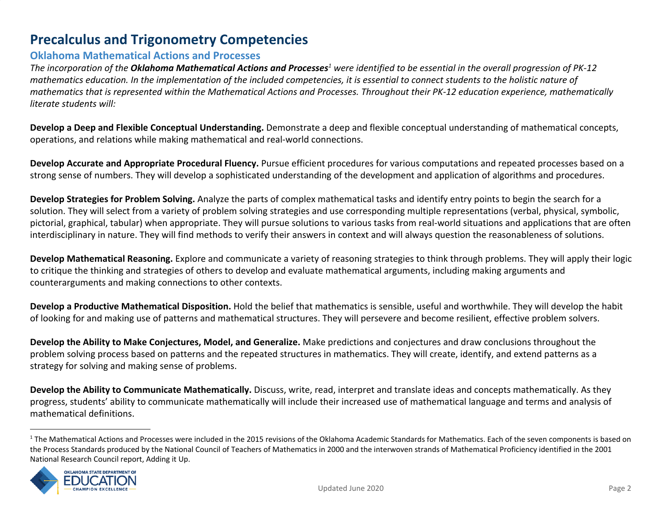# **Precalculus and Trigonometry Competencies**

#### **Oklahoma Mathematical Actions and Processes**

*The incorporation of the Oklahoma Mathematical Actions and Processes were identified to be essential in the overall progression of PK-12 <sup>1</sup> mathematics education. In the implementation of the included competencies, it is essential to connect students to the holistic nature of mathematics that is represented within the Mathematical Actions and Processes. Throughout their PK-12 education experience, mathematically literate students will:*

**Develop a Deep and Flexible Conceptual Understanding.** Demonstrate a deep and flexible conceptual understanding of mathematical concepts, operations, and relations while making mathematical and real-world connections.

**Develop Accurate and Appropriate Procedural Fluency.** Pursue efficient procedures for various computations and repeated processes based on a strong sense of numbers. They will develop a sophisticated understanding of the development and application of algorithms and procedures.

**Develop Strategies for Problem Solving.** Analyze the parts of complex mathematical tasks and identify entry points to begin the search for a solution. They will select from a variety of problem solving strategies and use corresponding multiple representations (verbal, physical, symbolic, pictorial, graphical, tabular) when appropriate. They will pursue solutions to various tasks from real-world situations and applications that are often interdisciplinary in nature. They will find methods to verify their answers in context and will always question the reasonableness of solutions.

**Develop Mathematical Reasoning.** Explore and communicate a variety of reasoning strategies to think through problems. They will apply their logic to critique the thinking and strategies of others to develop and evaluate mathematical arguments, including making arguments and counterarguments and making connections to other contexts.

**Develop a Productive Mathematical Disposition.** Hold the belief that mathematics is sensible, useful and worthwhile. They will develop the habit of looking for and making use of patterns and mathematical structures. They will persevere and become resilient, effective problem solvers.

**Develop the Ability to Make Conjectures, Model, and Generalize.** Make predictions and conjectures and draw conclusions throughout the problem solving process based on patterns and the repeated structures in mathematics. They will create, identify, and extend patterns as a strategy for solving and making sense of problems.

**Develop the Ability to Communicate Mathematically.** Discuss, write, read, interpret and translate ideas and concepts mathematically. As they progress, students' ability to communicate mathematically will include their increased use of mathematical language and terms and analysis of mathematical definitions.

<sup>&</sup>lt;sup>1</sup> The Mathematical Actions and Processes were included in the 2015 revisions of the Oklahoma Academic Standards for Mathematics. Each of the seven components is based on the Process Standards produced by the National Council of Teachers of Mathematics in 2000 and the interwoven strands of Mathematical Proficiency identified in the 2001 National Research Council report, Adding it Up.

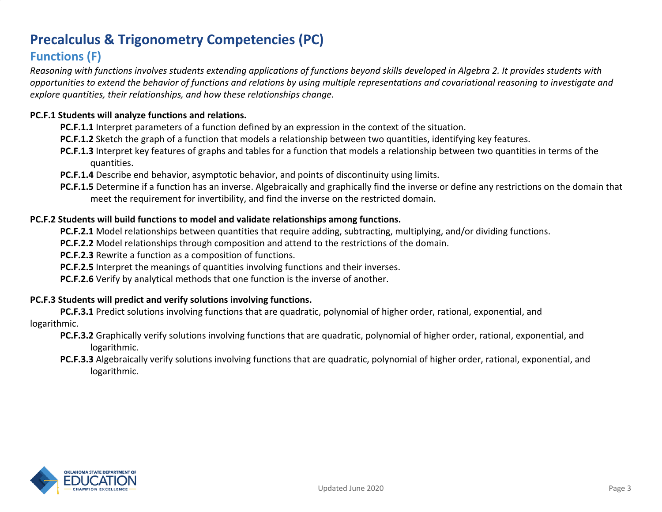# **Precalculus & Trigonometry Competencies (PC)**

# **Functions (F)**

*Reasoning with functions involves students extending applications of functions beyond skills developed in Algebra 2. It provides students with opportunities to extend the behavior of functions and relations by using multiple representations and covariational reasoning to investigate and explore quantities, their relationships, and how these relationships change.*

#### **PC.F.1 Students will analyze functions and relations.**

**PC.F.1.1** Interpret parameters of a function defined by an expression in the context of the situation.

- **PC.F.1.2** Sketch the graph of a function that models a relationship between two quantities, identifying key features.
- **PC.F.1.3** Interpret key features of graphs and tables for a function that models a relationship between two quantities in terms of the quantities.
- **PC.F.1.4** Describe end behavior, asymptotic behavior, and points of discontinuity using limits.
- **PC.F.1.5** Determine if a function has an inverse. Algebraically and graphically find the inverse or define any restrictions on the domain that meet the requirement for invertibility, and find the inverse on the restricted domain.

#### **PC.F.2 Students will build functions to model and validate relationships among functions.**

**PC.F.2.1** Model relationships between quantities that require adding, subtracting, multiplying, and/or dividing functions.

**PC.F.2.2** Model relationships through composition and attend to the restrictions of the domain.

**PC.F.2.3** Rewrite a function as a composition of functions.

**PC.F.2.5** Interpret the meanings of quantities involving functions and their inverses.

**PC.F.2.6** Verify by analytical methods that one function is the inverse of another.

#### **PC.F.3 Students will predict and verify solutions involving functions.**

**PC.F.3.1** Predict solutions involving functions that are quadratic, polynomial of higher order, rational, exponential, and logarithmic.

- **PC.F.3.2** Graphically verify solutions involving functions that are quadratic, polynomial of higher order, rational, exponential, and logarithmic.
- **PC.F.3.3** Algebraically verify solutions involving functions that are quadratic, polynomial of higher order, rational, exponential, and logarithmic.

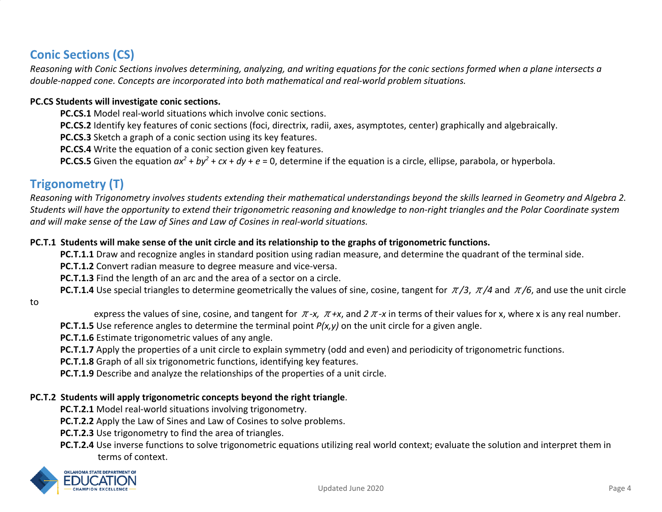# **Conic Sections (CS)**

*Reasoning with Conic Sections involves determining, analyzing, and writing equations for the conic sections formed when a plane intersects a double-napped cone. Concepts are incorporated into both mathematical and real-world problem situations.*

#### **PC.CS Students will investigate conic sections.**

**PC.CS.1** Model real-world situations which involve conic sections.

**PC.CS.2** Identify key features of conic sections (foci, directrix, radii, axes, asymptotes, center) graphically and algebraically.

**PC.CS.3** Sketch a graph of a conic section using its key features.

**PC.CS.4** Write the equation of a conic section given key features.

**PC.CS.5** Given the equation  $ax^2 + by^2 + cx + dy + e = 0$ , determine if the equation is a circle, ellipse, parabola, or hyperbola.

## **Trigonometry (T)**

*Reasoning with Trigonometry involves students extending their mathematical understandings beyond the skills learned in Geometry and Algebra 2. Students will have the opportunity to extend their trigonometric reasoning and knowledge to non-right triangles and the Polar Coordinate system and will make sense of the Law of Sines and Law of Cosines in real-world situations.*

#### **PC.T.1 Students will make sense of the unit circle and its relationship to the graphs of trigonometric functions.**

**PC.T.1.1** Draw and recognize angles in standard position using radian measure, and determine the quadrant of the terminal side.

**PC.T.1.2** Convert radian measure to degree measure and vice-versa.

**PC.T.1.3** Find the length of an arc and the area of a sector on a circle.

**PC.T.1.4** Use special triangles to determine geometrically the values of sine, cosine, tangent for π*/3*, π*/4* and π*/6*, and use the unit circle

to

express the values of sine, cosine, and tangent for π*-x,* π*+x*, and *2*π*-x* in terms of their values for x, where x is any real number.

**PC.T.1.5** Use reference angles to determine the terminal point *P(x,y)* on the unit circle for a given angle.

**PC.T.1.6** Estimate trigonometric values of any angle.

**PC.T.1.7** Apply the properties of a unit circle to explain symmetry (odd and even) and periodicity of trigonometric functions.

**PC.T.1.8** Graph of all six trigonometric functions, identifying key features.

**PC.T.1.9** Describe and analyze the relationships of the properties of a unit circle.

#### **PC.T.2 Students will apply trigonometric concepts beyond the right triangle**.

**PC.T.2.1** Model real-world situations involving trigonometry.

**PC.T.2.2** Apply the Law of Sines and Law of Cosines to solve problems.

**PC.T.2.3** Use trigonometry to find the area of triangles.

**PC.T.2.4** Use inverse functions to solve trigonometric equations utilizing real world context; evaluate the solution and interpret them in terms of context.

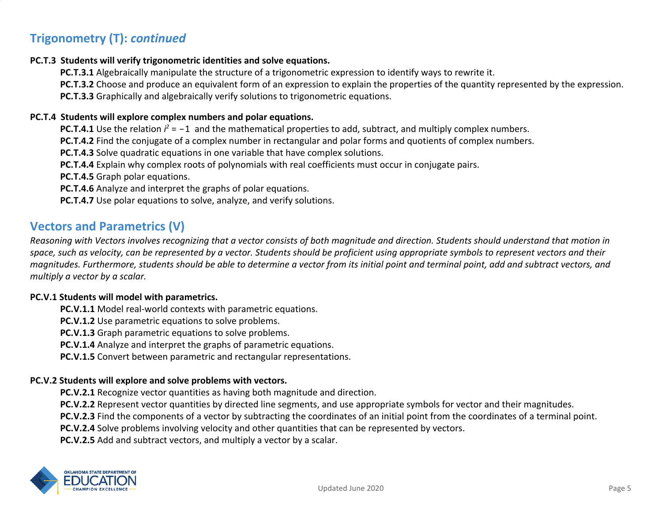# **Trigonometry (T):** *continued*

#### **PC.T.3 Students will verify trigonometric identities and solve equations.**

**PC.T.3.1** Algebraically manipulate the structure of a trigonometric expression to identify ways to rewrite it.

**PC.T.3.2** Choose and produce an equivalent form of an expression to explain the properties of the quantity represented by the expression.

**PC.T.3.3** Graphically and algebraically verify solutions to trigonometric equations.

#### **PC.T.4 Students will explore complex numbers and polar equations.**

**PC.T.4.1** Use the relation  $i^2 = -1$  and the mathematical properties to add, subtract, and multiply complex numbers.

**PC.T.4.2** Find the conjugate of a complex number in rectangular and polar forms and quotients of complex numbers.

**PC.T.4.3** Solve quadratic equations in one variable that have complex solutions.

**PC.T.4.4** Explain why complex roots of polynomials with real coefficients must occur in conjugate pairs.

**PC.T.4.5** Graph polar equations.

**PC.T.4.6** Analyze and interpret the graphs of polar equations.

**PC.T.4.7** Use polar equations to solve, analyze, and verify solutions.

### **Vectors and Parametrics (V)**

*Reasoning with Vectors involves recognizing that a vector consists of both magnitude and direction. Students should understand that motion in space, such as velocity, can be represented by a vector. Students should be proficient using appropriate symbols to represent vectors and their magnitudes. Furthermore, students should be able to determine a vector from its initial point and terminal point, add and subtract vectors, and multiply a vector by a scalar.*

#### **PC.V.1 Students will model with parametrics.**

**PC.V.1.1** Model real-world contexts with parametric equations.

**PC.V.1.2** Use parametric equations to solve problems.

**PC.V.1.3** Graph parametric equations to solve problems.

**PC.V.1.4** Analyze and interpret the graphs of parametric equations.

**PC.V.1.5** Convert between parametric and rectangular representations.

#### **PC.V.2 Students will explore and solve problems with vectors.**

**PC.V.2.1** Recognize vector quantities as having both magnitude and direction.

**PC.V.2.2** Represent vector quantities by directed line segments, and use appropriate symbols for vector and their magnitudes.

**PC.V.2.3** Find the components of a vector by subtracting the coordinates of an initial point from the coordinates of a terminal point.

**PC.V.2.4** Solve problems involving velocity and other quantities that can be represented by vectors.

**PC.V.2.5** Add and subtract vectors, and multiply a vector by a scalar.